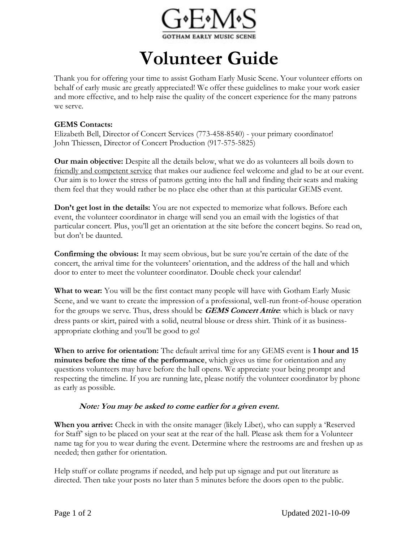

## **Volunteer Guide**

Thank you for offering your time to assist Gotham Early Music Scene. Your volunteer efforts on behalf of early music are greatly appreciated! We offer these guidelines to make your work easier and more effective, and to help raise the quality of the concert experience for the many patrons we serve.

## **GEMS Contacts:**

Elizabeth Bell, Director of Concert Services (773-458-8540) - your primary coordinator! John Thiessen, Director of Concert Production (917-575-5825)

**Our main objective:** Despite all the details below, what we do as volunteers all boils down to friendly and competent service that makes our audience feel welcome and glad to be at our event. Our aim is to lower the stress of patrons getting into the hall and finding their seats and making them feel that they would rather be no place else other than at this particular GEMS event.

**Don't get lost in the details:** You are not expected to memorize what follows. Before each event, the volunteer coordinator in charge will send you an email with the logistics of that particular concert. Plus, you'll get an orientation at the site before the concert begins. So read on, but don't be daunted.

**Confirming the obvious:** It may seem obvious, but be sure you're certain of the date of the concert, the arrival time for the volunteers' orientation, and the address of the hall and which door to enter to meet the volunteer coordinator. Double check your calendar!

**What to wear:** You will be the first contact many people will have with Gotham Early Music Scene, and we want to create the impression of a professional, well-run front-of-house operation for the groups we serve. Thus, dress should be **GEMS Concert Attire**: which is black or navy dress pants or skirt, paired with a solid, neutral blouse or dress shirt. Think of it as businessappropriate clothing and you'll be good to go!

**When to arrive for orientation:** The default arrival time for any GEMS event is **1 hour and 15 minutes before the time of the performance**, which gives us time for orientation and any questions volunteers may have before the hall opens. We appreciate your being prompt and respecting the timeline. If you are running late, please notify the volunteer coordinator by phone as early as possible.

## **Note: You may be asked to come earlier for a given event.**

**When you arrive:** Check in with the onsite manager (likely Libet), who can supply a 'Reserved for Staff' sign to be placed on your seat at the rear of the hall. Please ask them for a Volunteer name tag for you to wear during the event. Determine where the restrooms are and freshen up as needed; then gather for orientation.

Help stuff or collate programs if needed, and help put up signage and put out literature as directed. Then take your posts no later than 5 minutes before the doors open to the public.